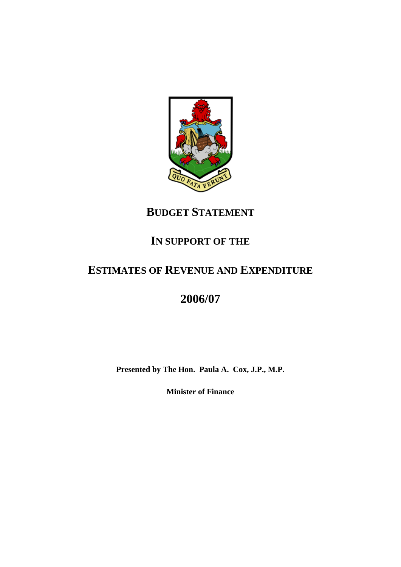

# **BUDGET STATEMENT**

# **IN SUPPORT OF THE**

# **ESTIMATES OF REVENUE AND EXPENDITURE**

# **2006/07**

**Presented by The Hon. Paula A. Cox, J.P., M.P.**

**Minister of Finance**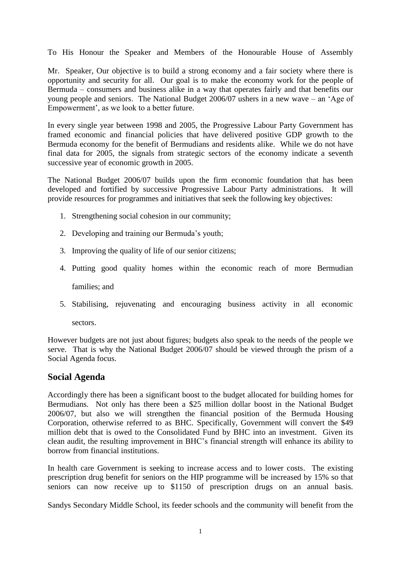To His Honour the Speaker and Members of the Honourable House of Assembly

Mr. Speaker, Our objective is to build a strong economy and a fair society where there is opportunity and security for all. Our goal is to make the economy work for the people of Bermuda – consumers and business alike in a way that operates fairly and that benefits our young people and seniors. The National Budget 2006/07 ushers in a new wave – an 'Age of Empowerment', as we look to a better future.

In every single year between 1998 and 2005, the Progressive Labour Party Government has framed economic and financial policies that have delivered positive GDP growth to the Bermuda economy for the benefit of Bermudians and residents alike. While we do not have final data for 2005, the signals from strategic sectors of the economy indicate a seventh successive year of economic growth in 2005.

The National Budget 2006/07 builds upon the firm economic foundation that has been developed and fortified by successive Progressive Labour Party administrations. It will provide resources for programmes and initiatives that seek the following key objectives:

- 1. Strengthening social cohesion in our community;
- 2. Developing and training our Bermuda's youth;
- 3. Improving the quality of life of our senior citizens;
- 4. Putting good quality homes within the economic reach of more Bermudian families; and
- 5. Stabilising, rejuvenating and encouraging business activity in all economic

sectors.

However budgets are not just about figures; budgets also speak to the needs of the people we serve. That is why the National Budget 2006/07 should be viewed through the prism of a Social Agenda focus.

# **Social Agenda**

Accordingly there has been a significant boost to the budget allocated for building homes for Bermudians. Not only has there been a \$25 million dollar boost in the National Budget 2006/07, but also we will strengthen the financial position of the Bermuda Housing Corporation, otherwise referred to as BHC. Specifically, Government will convert the \$49 million debt that is owed to the Consolidated Fund by BHC into an investment. Given its clean audit, the resulting improvement in BHC's financial strength will enhance its ability to borrow from financial institutions.

In health care Government is seeking to increase access and to lower costs. The existing prescription drug benefit for seniors on the HIP programme will be increased by 15% so that seniors can now receive up to \$1150 of prescription drugs on an annual basis.

Sandys Secondary Middle School, its feeder schools and the community will benefit from the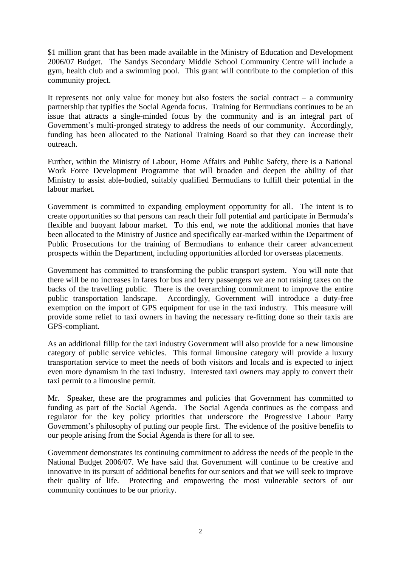\$1 million grant that has been made available in the Ministry of Education and Development 2006/07 Budget. The Sandys Secondary Middle School Community Centre will include a gym, health club and a swimming pool. This grant will contribute to the completion of this community project.

It represents not only value for money but also fosters the social contract  $-$  a community partnership that typifies the Social Agenda focus. Training for Bermudians continues to be an issue that attracts a single-minded focus by the community and is an integral part of Government's multi-pronged strategy to address the needs of our community. Accordingly, funding has been allocated to the National Training Board so that they can increase their outreach.

Further, within the Ministry of Labour, Home Affairs and Public Safety, there is a National Work Force Development Programme that will broaden and deepen the ability of that Ministry to assist able-bodied, suitably qualified Bermudians to fulfill their potential in the labour market.

Government is committed to expanding employment opportunity for all. The intent is to create opportunities so that persons can reach their full potential and participate in Bermuda's flexible and buoyant labour market. To this end, we note the additional monies that have been allocated to the Ministry of Justice and specifically ear-marked within the Department of Public Prosecutions for the training of Bermudians to enhance their career advancement prospects within the Department, including opportunities afforded for overseas placements.

Government has committed to transforming the public transport system. You will note that there will be no increases in fares for bus and ferry passengers we are not raising taxes on the backs of the travelling public. There is the overarching commitment to improve the entire public transportation landscape. Accordingly, Government will introduce a duty-free exemption on the import of GPS equipment for use in the taxi industry. This measure will provide some relief to taxi owners in having the necessary re-fitting done so their taxis are GPS-compliant.

As an additional fillip for the taxi industry Government will also provide for a new limousine category of public service vehicles. This formal limousine category will provide a luxury transportation service to meet the needs of both visitors and locals and is expected to inject even more dynamism in the taxi industry. Interested taxi owners may apply to convert their taxi permit to a limousine permit.

Mr. Speaker, these are the programmes and policies that Government has committed to funding as part of the Social Agenda. The Social Agenda continues as the compass and regulator for the key policy priorities that underscore the Progressive Labour Party Government's philosophy of putting our people first. The evidence of the positive benefits to our people arising from the Social Agenda is there for all to see.

Government demonstrates its continuing commitment to address the needs of the people in the National Budget 2006/07. We have said that Government will continue to be creative and innovative in its pursuit of additional benefits for our seniors and that we will seek to improve their quality of life. Protecting and empowering the most vulnerable sectors of our community continues to be our priority.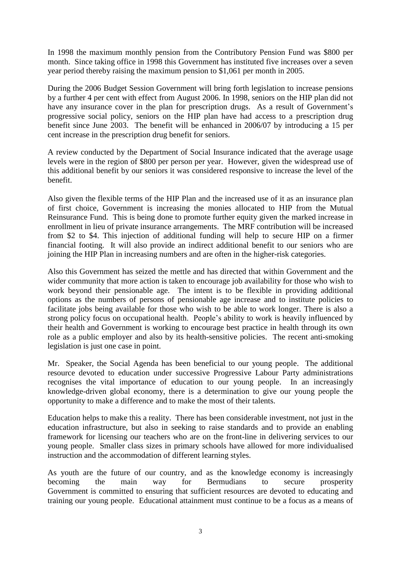In 1998 the maximum monthly pension from the Contributory Pension Fund was \$800 per month. Since taking office in 1998 this Government has instituted five increases over a seven year period thereby raising the maximum pension to \$1,061 per month in 2005.

During the 2006 Budget Session Government will bring forth legislation to increase pensions by a further 4 per cent with effect from August 2006. In 1998, seniors on the HIP plan did not have any insurance cover in the plan for prescription drugs. As a result of Government's progressive social policy, seniors on the HIP plan have had access to a prescription drug benefit since June 2003. The benefit will be enhanced in 2006/07 by introducing a 15 per cent increase in the prescription drug benefit for seniors.

A review conducted by the Department of Social Insurance indicated that the average usage levels were in the region of \$800 per person per year. However, given the widespread use of this additional benefit by our seniors it was considered responsive to increase the level of the benefit.

Also given the flexible terms of the HIP Plan and the increased use of it as an insurance plan of first choice, Government is increasing the monies allocated to HIP from the Mutual Reinsurance Fund. This is being done to promote further equity given the marked increase in enrollment in lieu of private insurance arrangements. The MRF contribution will be increased from \$2 to \$4. This injection of additional funding will help to secure HIP on a firmer financial footing. It will also provide an indirect additional benefit to our seniors who are joining the HIP Plan in increasing numbers and are often in the higher-risk categories.

Also this Government has seized the mettle and has directed that within Government and the wider community that more action is taken to encourage job availability for those who wish to work beyond their pensionable age. The intent is to be flexible in providing additional options as the numbers of persons of pensionable age increase and to institute policies to facilitate jobs being available for those who wish to be able to work longer. There is also a strong policy focus on occupational health. People's ability to work is heavily influenced by their health and Government is working to encourage best practice in health through its own role as a public employer and also by its health-sensitive policies. The recent anti-smoking legislation is just one case in point.

Mr. Speaker, the Social Agenda has been beneficial to our young people. The additional resource devoted to education under successive Progressive Labour Party administrations recognises the vital importance of education to our young people. In an increasingly knowledge-driven global economy, there is a determination to give our young people the opportunity to make a difference and to make the most of their talents.

Education helps to make this a reality. There has been considerable investment, not just in the education infrastructure, but also in seeking to raise standards and to provide an enabling framework for licensing our teachers who are on the front-line in delivering services to our young people. Smaller class sizes in primary schools have allowed for more individualised instruction and the accommodation of different learning styles.

As youth are the future of our country, and as the knowledge economy is increasingly becoming the main way for Bermudians to secure prosperity Government is committed to ensuring that sufficient resources are devoted to educating and training our young people. Educational attainment must continue to be a focus as a means of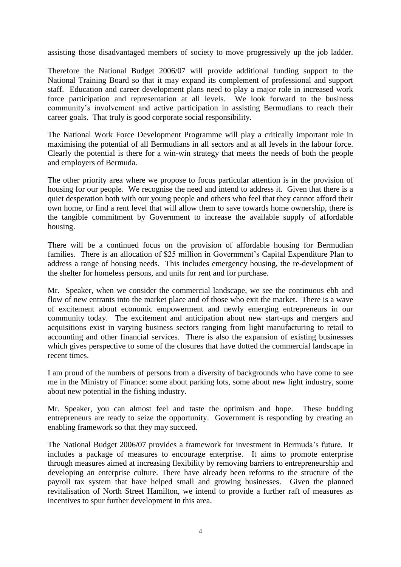assisting those disadvantaged members of society to move progressively up the job ladder.

Therefore the National Budget 2006/07 will provide additional funding support to the National Training Board so that it may expand its complement of professional and support staff. Education and career development plans need to play a major role in increased work force participation and representation at all levels. We look forward to the business community's involvement and active participation in assisting Bermudians to reach their career goals. That truly is good corporate social responsibility.

The National Work Force Development Programme will play a critically important role in maximising the potential of all Bermudians in all sectors and at all levels in the labour force. Clearly the potential is there for a win-win strategy that meets the needs of both the people and employers of Bermuda.

The other priority area where we propose to focus particular attention is in the provision of housing for our people. We recognise the need and intend to address it. Given that there is a quiet desperation both with our young people and others who feel that they cannot afford their own home, or find a rent level that will allow them to save towards home ownership, there is the tangible commitment by Government to increase the available supply of affordable housing.

There will be a continued focus on the provision of affordable housing for Bermudian families. There is an allocation of \$25 million in Government's Capital Expenditure Plan to address a range of housing needs. This includes emergency housing, the re-development of the shelter for homeless persons, and units for rent and for purchase.

Mr. Speaker, when we consider the commercial landscape, we see the continuous ebb and flow of new entrants into the market place and of those who exit the market. There is a wave of excitement about economic empowerment and newly emerging entrepreneurs in our community today. The excitement and anticipation about new start-ups and mergers and acquisitions exist in varying business sectors ranging from light manufacturing to retail to accounting and other financial services. There is also the expansion of existing businesses which gives perspective to some of the closures that have dotted the commercial landscape in recent times.

I am proud of the numbers of persons from a diversity of backgrounds who have come to see me in the Ministry of Finance: some about parking lots, some about new light industry, some about new potential in the fishing industry.

Mr. Speaker, you can almost feel and taste the optimism and hope. These budding entrepreneurs are ready to seize the opportunity. Government is responding by creating an enabling framework so that they may succeed.

The National Budget 2006/07 provides a framework for investment in Bermuda's future. It includes a package of measures to encourage enterprise. It aims to promote enterprise through measures aimed at increasing flexibility by removing barriers to entrepreneurship and developing an enterprise culture. There have already been reforms to the structure of the payroll tax system that have helped small and growing businesses. Given the planned revitalisation of North Street Hamilton, we intend to provide a further raft of measures as incentives to spur further development in this area.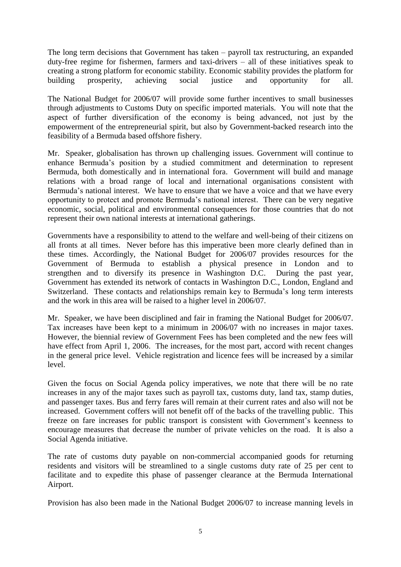The long term decisions that Government has taken – payroll tax restructuring, an expanded duty-free regime for fishermen, farmers and taxi-drivers – all of these initiatives speak to creating a strong platform for economic stability. Economic stability provides the platform for building prosperity, achieving social justice and opportunity for all.

The National Budget for 2006/07 will provide some further incentives to small businesses through adjustments to Customs Duty on specific imported materials. You will note that the aspect of further diversification of the economy is being advanced, not just by the empowerment of the entrepreneurial spirit, but also by Government-backed research into the feasibility of a Bermuda based offshore fishery.

Mr. Speaker, globalisation has thrown up challenging issues. Government will continue to enhance Bermuda's position by a studied commitment and determination to represent Bermuda, both domestically and in international fora. Government will build and manage relations with a broad range of local and international organisations consistent with Bermuda's national interest. We have to ensure that we have a voice and that we have every opportunity to protect and promote Bermuda's national interest. There can be very negative economic, social, political and environmental consequences for those countries that do not represent their own national interests at international gatherings.

Governments have a responsibility to attend to the welfare and well-being of their citizens on all fronts at all times. Never before has this imperative been more clearly defined than in these times. Accordingly, the National Budget for 2006/07 provides resources for the Government of Bermuda to establish a physical presence in London and to strengthen and to diversify its presence in Washington D.C. During the past year, Government has extended its network of contacts in Washington D.C., London, England and Switzerland. These contacts and relationships remain key to Bermuda's long term interests and the work in this area will be raised to a higher level in 2006/07.

Mr. Speaker, we have been disciplined and fair in framing the National Budget for 2006/07. Tax increases have been kept to a minimum in 2006/07 with no increases in major taxes. However, the biennial review of Government Fees has been completed and the new fees will have effect from April 1, 2006. The increases, for the most part, accord with recent changes in the general price level. Vehicle registration and licence fees will be increased by a similar level.

Given the focus on Social Agenda policy imperatives, we note that there will be no rate increases in any of the major taxes such as payroll tax, customs duty, land tax, stamp duties, and passenger taxes. Bus and ferry fares will remain at their current rates and also will not be increased. Government coffers will not benefit off of the backs of the travelling public. This freeze on fare increases for public transport is consistent with Government's keenness to encourage measures that decrease the number of private vehicles on the road. It is also a Social Agenda initiative.

The rate of customs duty payable on non-commercial accompanied goods for returning residents and visitors will be streamlined to a single customs duty rate of 25 per cent to facilitate and to expedite this phase of passenger clearance at the Bermuda International Airport.

Provision has also been made in the National Budget 2006/07 to increase manning levels in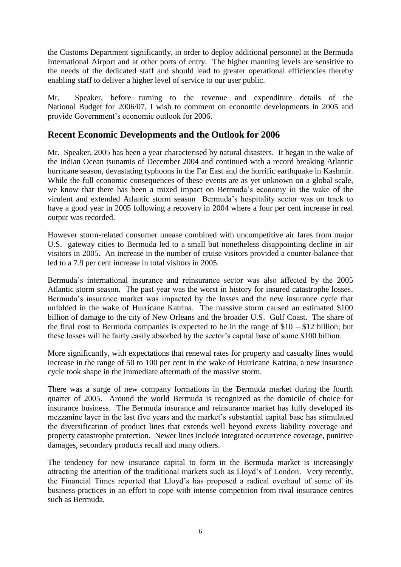the Customs Department significantly, in order to deploy additional personnel at the Bermuda International Airport and at other ports of entry. The higher manning levels are sensitive to the needs of the dedicated staff and should lead to greater operational efficiencies thereby enabling staff to deliver a higher level of service to our user public.

Mr. Speaker, before turning to the revenue and expenditure details of the National Budget for 2006/07, I wish to comment on economic developments in 2005 and provide Government's economic outlook for 2006.

# **Recent Economic Developments and the Outlook for 2006**

Mr. Speaker, 2005 has been a year characterised by natural disasters. It began in the wake of the Indian Ocean tsunamis of December 2004 and continued with a record breaking Atlantic hurricane season, devastating typhoons in the Far East and the horrific earthquake in Kashmir. While the full economic consequences of these events are as yet unknown on a global scale, we know that there has been a mixed impact on Bermuda's economy in the wake of the virulent and extended Atlantic storm season Bermuda's hospitality sector was on track to have a good year in 2005 following a recovery in 2004 where a four per cent increase in real output was recorded.

However storm-related consumer unease combined with uncompetitive air fares from major U.S. gateway cities to Bermuda led to a small but nonetheless disappointing decline in air visitors in 2005. An increase in the number of cruise visitors provided a counter-balance that led to a 7.9 per cent increase in total visitors in 2005.

Bermuda's international insurance and reinsurance sector was also affected by the 2005 Atlantic storm season. The past year was the worst in history for insured catastrophe losses. Bermuda's insurance market was impacted by the losses and the new insurance cycle that unfolded in the wake of Hurricane Katrina. The massive storm caused an estimated \$100 billion of damage to the city of New Orleans and the broader U.S. Gulf Coast. The share of the final cost to Bermuda companies is expected to be in the range of  $$10 - $12$  billion; but these losses will be fairly easily absorbed by the sector's capital base of some \$100 billion.

More significantly, with expectations that renewal rates for property and casualty lines would increase in the range of 50 to 100 per cent in the wake of Hurricane Katrina, a new insurance cycle took shape in the immediate aftermath of the massive storm.

There was a surge of new company formations in the Bermuda market during the fourth quarter of 2005. Around the world Bermuda is recognized as the domicile of choice for insurance business. The Bermuda insurance and reinsurance market has fully developed its mezzanine layer in the last five years and the market's substantial capital base has stimulated the diversification of product lines that extends well beyond excess liability coverage and property catastrophe protection. Newer lines include integrated occurrence coverage, punitive damages, secondary products recall and many others.

The tendency for new insurance capital to form in the Bermuda market is increasingly attracting the attention of the traditional markets such as Lloyd's of London. Very recently, the Financial Times reported that Lloyd's has proposed a radical overhaul of some of its business practices in an effort to cope with intense competition from rival insurance centres such as Bermuda.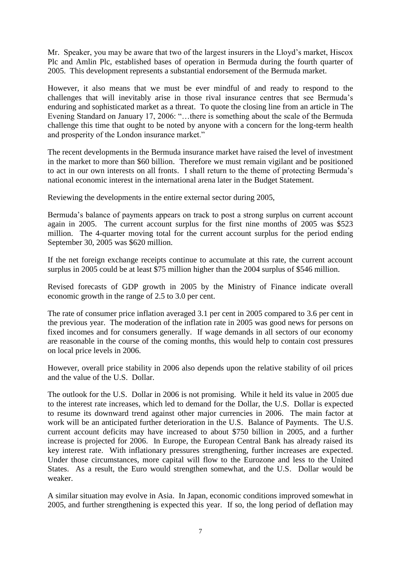Mr. Speaker, you may be aware that two of the largest insurers in the Lloyd's market, Hiscox Plc and Amlin Plc, established bases of operation in Bermuda during the fourth quarter of 2005. This development represents a substantial endorsement of the Bermuda market.

However, it also means that we must be ever mindful of and ready to respond to the challenges that will inevitably arise in those rival insurance centres that see Bermuda's enduring and sophisticated market as a threat. To quote the closing line from an article in The Evening Standard on January 17, 2006: "…there is something about the scale of the Bermuda challenge this time that ought to be noted by anyone with a concern for the long-term health and prosperity of the London insurance market."

The recent developments in the Bermuda insurance market have raised the level of investment in the market to more than \$60 billion. Therefore we must remain vigilant and be positioned to act in our own interests on all fronts. I shall return to the theme of protecting Bermuda's national economic interest in the international arena later in the Budget Statement.

Reviewing the developments in the entire external sector during 2005,

Bermuda's balance of payments appears on track to post a strong surplus on current account again in 2005. The current account surplus for the first nine months of 2005 was \$523 million. The 4-quarter moving total for the current account surplus for the period ending September 30, 2005 was \$620 million.

If the net foreign exchange receipts continue to accumulate at this rate, the current account surplus in 2005 could be at least \$75 million higher than the 2004 surplus of \$546 million.

Revised forecasts of GDP growth in 2005 by the Ministry of Finance indicate overall economic growth in the range of 2.5 to 3.0 per cent.

The rate of consumer price inflation averaged 3.1 per cent in 2005 compared to 3.6 per cent in the previous year. The moderation of the inflation rate in 2005 was good news for persons on fixed incomes and for consumers generally. If wage demands in all sectors of our economy are reasonable in the course of the coming months, this would help to contain cost pressures on local price levels in 2006.

However, overall price stability in 2006 also depends upon the relative stability of oil prices and the value of the U.S. Dollar.

The outlook for the U.S. Dollar in 2006 is not promising. While it held its value in 2005 due to the interest rate increases, which led to demand for the Dollar, the U.S. Dollar is expected to resume its downward trend against other major currencies in 2006. The main factor at work will be an anticipated further deterioration in the U.S. Balance of Payments. The U.S. current account deficits may have increased to about \$750 billion in 2005, and a further increase is projected for 2006. In Europe, the European Central Bank has already raised its key interest rate. With inflationary pressures strengthening, further increases are expected. Under those circumstances, more capital will flow to the Eurozone and less to the United States. As a result, the Euro would strengthen somewhat, and the U.S. Dollar would be weaker.

A similar situation may evolve in Asia. In Japan, economic conditions improved somewhat in 2005, and further strengthening is expected this year. If so, the long period of deflation may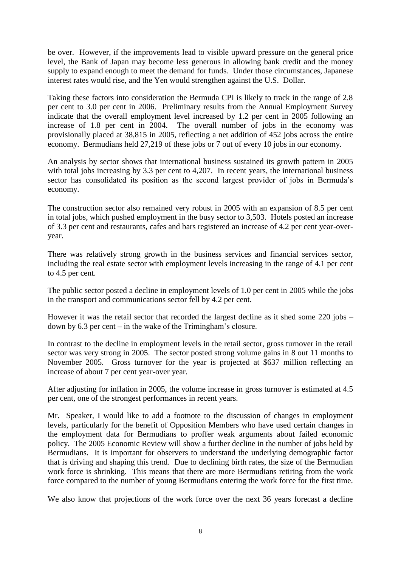be over. However, if the improvements lead to visible upward pressure on the general price level, the Bank of Japan may become less generous in allowing bank credit and the money supply to expand enough to meet the demand for funds. Under those circumstances, Japanese interest rates would rise, and the Yen would strengthen against the U.S. Dollar.

Taking these factors into consideration the Bermuda CPI is likely to track in the range of 2.8 per cent to 3.0 per cent in 2006. Preliminary results from the Annual Employment Survey indicate that the overall employment level increased by 1.2 per cent in 2005 following an increase of 1.8 per cent in 2004. The overall number of jobs in the economy was provisionally placed at 38,815 in 2005, reflecting a net addition of 452 jobs across the entire economy. Bermudians held 27,219 of these jobs or 7 out of every 10 jobs in our economy.

An analysis by sector shows that international business sustained its growth pattern in 2005 with total jobs increasing by 3.3 per cent to 4,207. In recent years, the international business sector has consolidated its position as the second largest provider of jobs in Bermuda's economy.

The construction sector also remained very robust in 2005 with an expansion of 8.5 per cent in total jobs, which pushed employment in the busy sector to 3,503. Hotels posted an increase of 3.3 per cent and restaurants, cafes and bars registered an increase of 4.2 per cent year-overyear.

There was relatively strong growth in the business services and financial services sector, including the real estate sector with employment levels increasing in the range of 4.1 per cent to 4.5 per cent.

The public sector posted a decline in employment levels of 1.0 per cent in 2005 while the jobs in the transport and communications sector fell by 4.2 per cent.

However it was the retail sector that recorded the largest decline as it shed some 220 jobs – down by 6.3 per cent – in the wake of the Trimingham's closure.

In contrast to the decline in employment levels in the retail sector, gross turnover in the retail sector was very strong in 2005. The sector posted strong volume gains in 8 out 11 months to November 2005. Gross turnover for the year is projected at \$637 million reflecting an increase of about 7 per cent year-over year.

After adjusting for inflation in 2005, the volume increase in gross turnover is estimated at 4.5 per cent, one of the strongest performances in recent years.

Mr. Speaker, I would like to add a footnote to the discussion of changes in employment levels, particularly for the benefit of Opposition Members who have used certain changes in the employment data for Bermudians to proffer weak arguments about failed economic policy. The 2005 Economic Review will show a further decline in the number of jobs held by Bermudians. It is important for observers to understand the underlying demographic factor that is driving and shaping this trend. Due to declining birth rates, the size of the Bermudian work force is shrinking. This means that there are more Bermudians retiring from the work force compared to the number of young Bermudians entering the work force for the first time.

We also know that projections of the work force over the next 36 years forecast a decline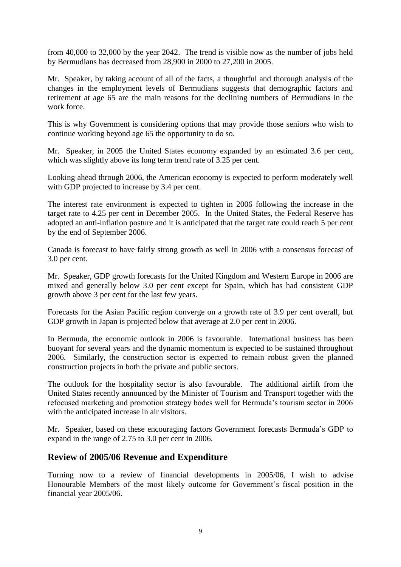from 40,000 to 32,000 by the year 2042. The trend is visible now as the number of jobs held by Bermudians has decreased from 28,900 in 2000 to 27,200 in 2005.

Mr. Speaker, by taking account of all of the facts, a thoughtful and thorough analysis of the changes in the employment levels of Bermudians suggests that demographic factors and retirement at age 65 are the main reasons for the declining numbers of Bermudians in the work force.

This is why Government is considering options that may provide those seniors who wish to continue working beyond age 65 the opportunity to do so.

Mr. Speaker, in 2005 the United States economy expanded by an estimated 3.6 per cent, which was slightly above its long term trend rate of 3.25 per cent.

Looking ahead through 2006, the American economy is expected to perform moderately well with GDP projected to increase by 3.4 per cent.

The interest rate environment is expected to tighten in 2006 following the increase in the target rate to 4.25 per cent in December 2005. In the United States, the Federal Reserve has adopted an anti-inflation posture and it is anticipated that the target rate could reach 5 per cent by the end of September 2006.

Canada is forecast to have fairly strong growth as well in 2006 with a consensus forecast of 3.0 per cent.

Mr. Speaker, GDP growth forecasts for the United Kingdom and Western Europe in 2006 are mixed and generally below 3.0 per cent except for Spain, which has had consistent GDP growth above 3 per cent for the last few years.

Forecasts for the Asian Pacific region converge on a growth rate of 3.9 per cent overall, but GDP growth in Japan is projected below that average at 2.0 per cent in 2006.

In Bermuda, the economic outlook in 2006 is favourable. International business has been buoyant for several years and the dynamic momentum is expected to be sustained throughout 2006. Similarly, the construction sector is expected to remain robust given the planned construction projects in both the private and public sectors.

The outlook for the hospitality sector is also favourable. The additional airlift from the United States recently announced by the Minister of Tourism and Transport together with the refocused marketing and promotion strategy bodes well for Bermuda's tourism sector in 2006 with the anticipated increase in air visitors.

Mr. Speaker, based on these encouraging factors Government forecasts Bermuda's GDP to expand in the range of 2.75 to 3.0 per cent in 2006.

# **Review of 2005/06 Revenue and Expenditure**

Turning now to a review of financial developments in 2005/06, I wish to advise Honourable Members of the most likely outcome for Government's fiscal position in the financial year 2005/06.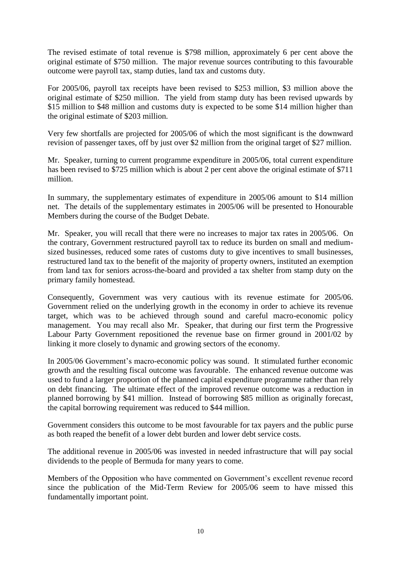The revised estimate of total revenue is \$798 million, approximately 6 per cent above the original estimate of \$750 million. The major revenue sources contributing to this favourable outcome were payroll tax, stamp duties, land tax and customs duty.

For 2005/06, payroll tax receipts have been revised to \$253 million, \$3 million above the original estimate of \$250 million. The yield from stamp duty has been revised upwards by \$15 million to \$48 million and customs duty is expected to be some \$14 million higher than the original estimate of \$203 million.

Very few shortfalls are projected for 2005/06 of which the most significant is the downward revision of passenger taxes, off by just over \$2 million from the original target of \$27 million.

Mr. Speaker, turning to current programme expenditure in 2005/06, total current expenditure has been revised to \$725 million which is about 2 per cent above the original estimate of \$711 million.

In summary, the supplementary estimates of expenditure in 2005/06 amount to \$14 million net. The details of the supplementary estimates in 2005/06 will be presented to Honourable Members during the course of the Budget Debate.

Mr. Speaker, you will recall that there were no increases to major tax rates in 2005/06. On the contrary, Government restructured payroll tax to reduce its burden on small and mediumsized businesses, reduced some rates of customs duty to give incentives to small businesses, restructured land tax to the benefit of the majority of property owners, instituted an exemption from land tax for seniors across-the-board and provided a tax shelter from stamp duty on the primary family homestead.

Consequently, Government was very cautious with its revenue estimate for 2005/06. Government relied on the underlying growth in the economy in order to achieve its revenue target, which was to be achieved through sound and careful macro-economic policy management. You may recall also Mr. Speaker, that during our first term the Progressive Labour Party Government repositioned the revenue base on firmer ground in 2001/02 by linking it more closely to dynamic and growing sectors of the economy.

In 2005/06 Government's macro-economic policy was sound. It stimulated further economic growth and the resulting fiscal outcome was favourable. The enhanced revenue outcome was used to fund a larger proportion of the planned capital expenditure programme rather than rely on debt financing. The ultimate effect of the improved revenue outcome was a reduction in planned borrowing by \$41 million. Instead of borrowing \$85 million as originally forecast, the capital borrowing requirement was reduced to \$44 million.

Government considers this outcome to be most favourable for tax payers and the public purse as both reaped the benefit of a lower debt burden and lower debt service costs.

The additional revenue in 2005/06 was invested in needed infrastructure that will pay social dividends to the people of Bermuda for many years to come.

Members of the Opposition who have commented on Government's excellent revenue record since the publication of the Mid-Term Review for 2005/06 seem to have missed this fundamentally important point.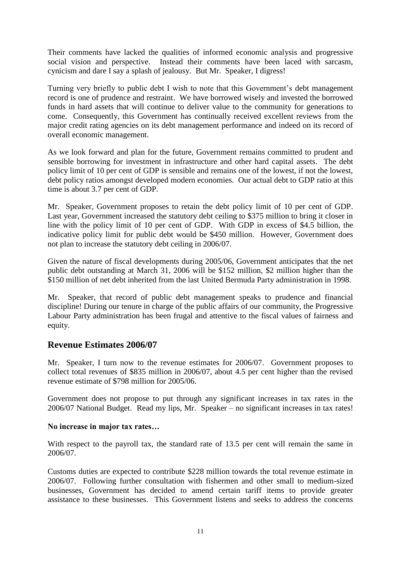Their comments have lacked the qualities of informed economic analysis and progressive social vision and perspective. Instead their comments have been laced with sarcasm, cynicism and dare I say a splash of jealousy. But Mr. Speaker, I digress!

Turning very briefly to public debt I wish to note that this Government's debt management record is one of prudence and restraint. We have borrowed wisely and invested the borrowed funds in hard assets that will continue to deliver value to the community for generations to come. Consequently, this Government has continually received excellent reviews from the major credit rating agencies on its debt management performance and indeed on its record of overall economic management.

As we look forward and plan for the future, Government remains committed to prudent and sensible borrowing for investment in infrastructure and other hard capital assets. The debt policy limit of 10 per cent of GDP is sensible and remains one of the lowest, if not the lowest, debt policy ratios amongst developed modern economies. Our actual debt to GDP ratio at this time is about 3.7 per cent of GDP.

Mr. Speaker, Government proposes to retain the debt policy limit of 10 per cent of GDP. Last year, Government increased the statutory debt ceiling to \$375 million to bring it closer in line with the policy limit of 10 per cent of GDP. With GDP in excess of \$4.5 billion, the indicative policy limit for public debt would be \$450 million. However, Government does not plan to increase the statutory debt ceiling in 2006/07.

Given the nature of fiscal developments during 2005/06, Government anticipates that the net public debt outstanding at March 31, 2006 will be \$152 million, \$2 million higher than the \$150 million of net debt inherited from the last United Bermuda Party administration in 1998.

Mr. Speaker, that record of public debt management speaks to prudence and financial discipline! During our tenure in charge of the public affairs of our community, the Progressive Labour Party administration has been frugal and attentive to the fiscal values of fairness and equity.

# **Revenue Estimates 2006/07**

Mr. Speaker, I turn now to the revenue estimates for 2006/07. Government proposes to collect total revenues of \$835 million in 2006/07, about 4.5 per cent higher than the revised revenue estimate of \$798 million for 2005/06.

Government does not propose to put through any significant increases in tax rates in the 2006/07 National Budget. Read my lips, Mr. Speaker – no significant increases in tax rates!

# **No increase in major tax rates…**

With respect to the payroll tax, the standard rate of 13.5 per cent will remain the same in 2006/07.

Customs duties are expected to contribute \$228 million towards the total revenue estimate in 2006/07. Following further consultation with fishermen and other small to medium-sized businesses, Government has decided to amend certain tariff items to provide greater assistance to these businesses. This Government listens and seeks to address the concerns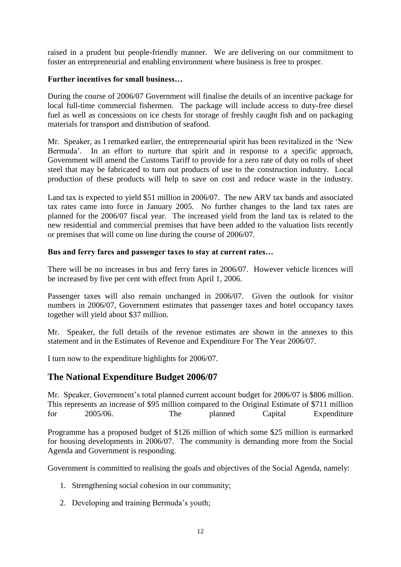raised in a prudent but people-friendly manner. We are delivering on our commitment to foster an entrepreneurial and enabling environment where business is free to prosper.

#### **Further incentives for small business…**

During the course of 2006/07 Government will finalise the details of an incentive package for local full-time commercial fishermen. The package will include access to duty-free diesel fuel as well as concessions on ice chests for storage of freshly caught fish and on packaging materials for transport and distribution of seafood.

Mr. Speaker, as I remarked earlier, the entrepreneurial spirit has been revitalized in the 'New Bermuda'. In an effort to nurture that spirit and in response to a specific approach, Government will amend the Customs Tariff to provide for a zero rate of duty on rolls of sheet steel that may be fabricated to turn out products of use to the construction industry. Local production of these products will help to save on cost and reduce waste in the industry.

Land tax is expected to yield \$51 million in 2006/07. The new ARV tax bands and associated tax rates came into force in January 2005. No further changes to the land tax rates are planned for the 2006/07 fiscal year. The increased yield from the land tax is related to the new residential and commercial premises that have been added to the valuation lists recently or premises that will come on line during the course of 2006/07.

#### **Bus and ferry fares and passenger taxes to stay at current rates…**

There will be no increases in bus and ferry fares in 2006/07. However vehicle licences will be increased by five per cent with effect from April 1, 2006.

Passenger taxes will also remain unchanged in 2006/07. Given the outlook for visitor numbers in 2006/07, Government estimates that passenger taxes and hotel occupancy taxes together will yield about \$37 million.

Mr. Speaker, the full details of the revenue estimates are shown in the annexes to this statement and in the Estimates of Revenue and Expenditure For The Year 2006/07.

I turn now to the expenditure highlights for 2006/07.

# **The National Expenditure Budget 2006/07**

Mr. Speaker, Government's total planned current account budget for 2006/07 is \$806 million. This represents an increase of \$95 million compared to the Original Estimate of \$711 million for 2005/06. The planned Capital Expenditure

Programme has a proposed budget of \$126 million of which some \$25 million is earmarked for housing developments in 2006/07. The community is demanding more from the Social Agenda and Government is responding.

Government is committed to realising the goals and objectives of the Social Agenda, namely:

- 1. Strengthening social cohesion in our community;
- 2. Developing and training Bermuda's youth;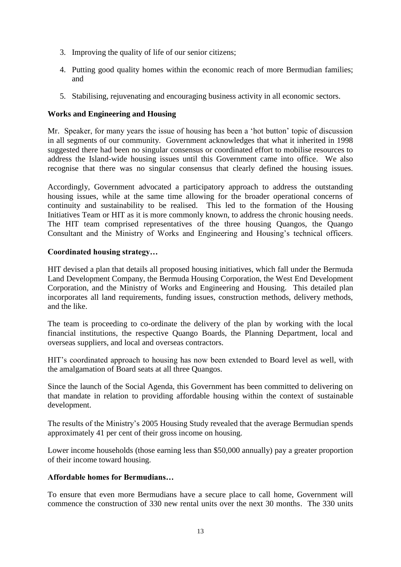- 3. Improving the quality of life of our senior citizens;
- 4. Putting good quality homes within the economic reach of more Bermudian families; and
- 5. Stabilising, rejuvenating and encouraging business activity in all economic sectors.

# **Works and Engineering and Housing**

Mr. Speaker, for many years the issue of housing has been a 'hot button' topic of discussion in all segments of our community. Government acknowledges that what it inherited in 1998 suggested there had been no singular consensus or coordinated effort to mobilise resources to address the Island-wide housing issues until this Government came into office. We also recognise that there was no singular consensus that clearly defined the housing issues.

Accordingly, Government advocated a participatory approach to address the outstanding housing issues, while at the same time allowing for the broader operational concerns of continuity and sustainability to be realised. This led to the formation of the Housing Initiatives Team or HIT as it is more commonly known, to address the chronic housing needs. The HIT team comprised representatives of the three housing Quangos, the Quango Consultant and the Ministry of Works and Engineering and Housing's technical officers.

# **Coordinated housing strategy…**

HIT devised a plan that details all proposed housing initiatives, which fall under the Bermuda Land Development Company, the Bermuda Housing Corporation, the West End Development Corporation, and the Ministry of Works and Engineering and Housing. This detailed plan incorporates all land requirements, funding issues, construction methods, delivery methods, and the like.

The team is proceeding to co-ordinate the delivery of the plan by working with the local financial institutions, the respective Quango Boards, the Planning Department, local and overseas suppliers, and local and overseas contractors.

HIT's coordinated approach to housing has now been extended to Board level as well, with the amalgamation of Board seats at all three Quangos.

Since the launch of the Social Agenda, this Government has been committed to delivering on that mandate in relation to providing affordable housing within the context of sustainable development.

The results of the Ministry's 2005 Housing Study revealed that the average Bermudian spends approximately 41 per cent of their gross income on housing.

Lower income households (those earning less than \$50,000 annually) pay a greater proportion of their income toward housing.

# **Affordable homes for Bermudians…**

To ensure that even more Bermudians have a secure place to call home, Government will commence the construction of 330 new rental units over the next 30 months. The 330 units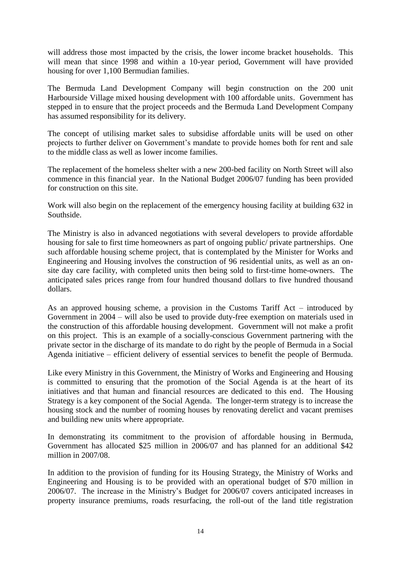will address those most impacted by the crisis, the lower income bracket households. This will mean that since 1998 and within a 10-year period, Government will have provided housing for over 1,100 Bermudian families.

The Bermuda Land Development Company will begin construction on the 200 unit Harbourside Village mixed housing development with 100 affordable units. Government has stepped in to ensure that the project proceeds and the Bermuda Land Development Company has assumed responsibility for its delivery.

The concept of utilising market sales to subsidise affordable units will be used on other projects to further deliver on Government's mandate to provide homes both for rent and sale to the middle class as well as lower income families.

The replacement of the homeless shelter with a new 200-bed facility on North Street will also commence in this financial year. In the National Budget 2006/07 funding has been provided for construction on this site.

Work will also begin on the replacement of the emergency housing facility at building 632 in Southside.

The Ministry is also in advanced negotiations with several developers to provide affordable housing for sale to first time homeowners as part of ongoing public/ private partnerships. One such affordable housing scheme project, that is contemplated by the Minister for Works and Engineering and Housing involves the construction of 96 residential units, as well as an onsite day care facility, with completed units then being sold to first-time home-owners. The anticipated sales prices range from four hundred thousand dollars to five hundred thousand dollars.

As an approved housing scheme, a provision in the Customs Tariff Act – introduced by Government in 2004 – will also be used to provide duty-free exemption on materials used in the construction of this affordable housing development. Government will not make a profit on this project. This is an example of a socially-conscious Government partnering with the private sector in the discharge of its mandate to do right by the people of Bermuda in a Social Agenda initiative – efficient delivery of essential services to benefit the people of Bermuda.

Like every Ministry in this Government, the Ministry of Works and Engineering and Housing is committed to ensuring that the promotion of the Social Agenda is at the heart of its initiatives and that human and financial resources are dedicated to this end. The Housing Strategy is a key component of the Social Agenda. The longer-term strategy is to increase the housing stock and the number of rooming houses by renovating derelict and vacant premises and building new units where appropriate.

In demonstrating its commitment to the provision of affordable housing in Bermuda, Government has allocated \$25 million in 2006/07 and has planned for an additional \$42 million in 2007/08.

In addition to the provision of funding for its Housing Strategy, the Ministry of Works and Engineering and Housing is to be provided with an operational budget of \$70 million in 2006/07. The increase in the Ministry's Budget for 2006/07 covers anticipated increases in property insurance premiums, roads resurfacing, the roll-out of the land title registration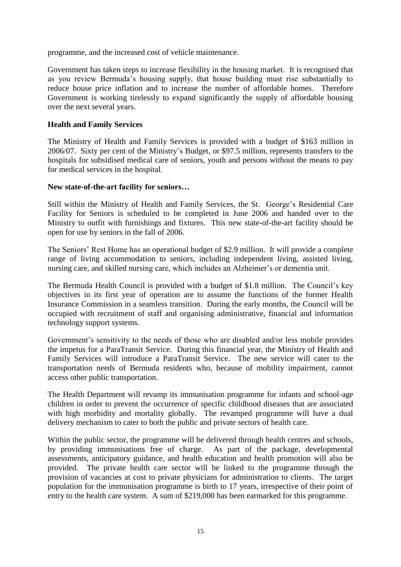programme, and the increased cost of vehicle maintenance.

Government has taken steps to increase flexibility in the housing market. It is recognised that as you review Bermuda's housing supply, that house building must rise substantially to reduce house price inflation and to increase the number of affordable homes. Therefore Government is working tirelessly to expand significantly the supply of affordable housing over the next several years.

#### **Health and Family Services**

The Ministry of Health and Family Services is provided with a budget of \$163 million in 2006/07. Sixty per cent of the Ministry's Budget, or \$97.5 million, represents transfers to the hospitals for subsidised medical care of seniors, youth and persons without the means to pay for medical services in the hospital.

#### **New state-of-the-art facility for seniors…**

Still within the Ministry of Health and Family Services, the St. George's Residential Care Facility for Seniors is scheduled to be completed in June 2006 and handed over to the Ministry to outfit with furnishings and fixtures. This new state-of-the-art facility should be open for use by seniors in the fall of 2006.

The Seniors' Rest Home has an operational budget of \$2.9 million. It will provide a complete range of living accommodation to seniors, including independent living, assisted living, nursing care, and skilled nursing care, which includes an Alzheimer's or dementia unit.

The Bermuda Health Council is provided with a budget of \$1.8 million. The Council's key objectives in its first year of operation are to assume the functions of the former Health Insurance Commission in a seamless transition. During the early months, the Council will be occupied with recruitment of staff and organising administrative, financial and information technology support systems.

Government's sensitivity to the needs of those who are disabled and/or less mobile provides the impetus for a ParaTransit Service. During this financial year, the Ministry of Health and Family Services will introduce a ParaTransit Service. The new service will cater to the transportation needs of Bermuda residents who, because of mobility impairment, cannot access other public transportation.

The Health Department will revamp its immunisation programme for infants and school-age children in order to prevent the occurrence of specific childhood diseases that are associated with high morbidity and mortality globally. The revamped programme will have a dual delivery mechanism to cater to both the public and private sectors of health care.

Within the public sector, the programme will be delivered through health centres and schools. by providing immunisations free of charge. As part of the package, developmental assessments, anticipatory guidance, and health education and health promotion will also be provided. The private health care sector will be linked to the programme through the provision of vacancies at cost to private physicians for administration to clients. The target population for the immunisation programme is birth to 17 years, irrespective of their point of entry to the health care system. A sum of \$219,000 has been earmarked for this programme.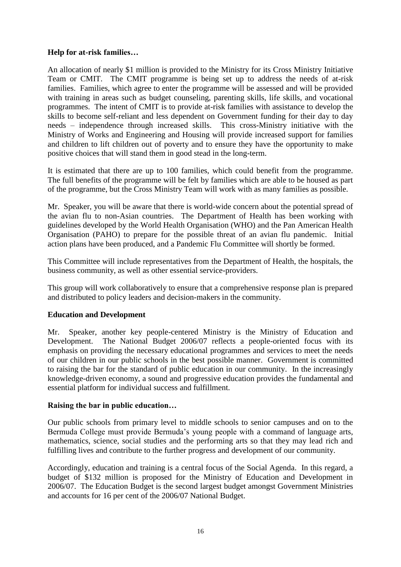# **Help for at-risk families…**

An allocation of nearly \$1 million is provided to the Ministry for its Cross Ministry Initiative Team or CMIT. The CMIT programme is being set up to address the needs of at-risk families. Families, which agree to enter the programme will be assessed and will be provided with training in areas such as budget counseling, parenting skills, life skills, and vocational programmes. The intent of CMIT is to provide at-risk families with assistance to develop the skills to become self-reliant and less dependent on Government funding for their day to day needs – independence through increased skills. This cross-Ministry initiative with the Ministry of Works and Engineering and Housing will provide increased support for families and children to lift children out of poverty and to ensure they have the opportunity to make positive choices that will stand them in good stead in the long-term.

It is estimated that there are up to 100 families, which could benefit from the programme. The full benefits of the programme will be felt by families which are able to be housed as part of the programme, but the Cross Ministry Team will work with as many families as possible.

Mr. Speaker, you will be aware that there is world-wide concern about the potential spread of the avian flu to non-Asian countries. The Department of Health has been working with guidelines developed by the World Health Organisation (WHO) and the Pan American Health Organisation (PAHO) to prepare for the possible threat of an avian flu pandemic. Initial action plans have been produced, and a Pandemic Flu Committee will shortly be formed.

This Committee will include representatives from the Department of Health, the hospitals, the business community, as well as other essential service-providers.

This group will work collaboratively to ensure that a comprehensive response plan is prepared and distributed to policy leaders and decision-makers in the community.

#### **Education and Development**

Mr. Speaker, another key people-centered Ministry is the Ministry of Education and Development. The National Budget 2006/07 reflects a people-oriented focus with its emphasis on providing the necessary educational programmes and services to meet the needs of our children in our public schools in the best possible manner. Government is committed to raising the bar for the standard of public education in our community. In the increasingly knowledge-driven economy, a sound and progressive education provides the fundamental and essential platform for individual success and fulfillment.

#### **Raising the bar in public education…**

Our public schools from primary level to middle schools to senior campuses and on to the Bermuda College must provide Bermuda's young people with a command of language arts, mathematics, science, social studies and the performing arts so that they may lead rich and fulfilling lives and contribute to the further progress and development of our community.

Accordingly, education and training is a central focus of the Social Agenda. In this regard, a budget of \$132 million is proposed for the Ministry of Education and Development in 2006/07. The Education Budget is the second largest budget amongst Government Ministries and accounts for 16 per cent of the 2006/07 National Budget.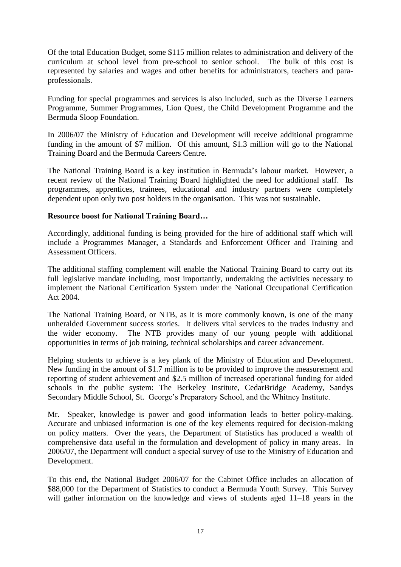Of the total Education Budget, some \$115 million relates to administration and delivery of the curriculum at school level from pre-school to senior school. The bulk of this cost is represented by salaries and wages and other benefits for administrators, teachers and paraprofessionals.

Funding for special programmes and services is also included, such as the Diverse Learners Programme, Summer Programmes, Lion Quest, the Child Development Programme and the Bermuda Sloop Foundation.

In 2006/07 the Ministry of Education and Development will receive additional programme funding in the amount of \$7 million. Of this amount, \$1.3 million will go to the National Training Board and the Bermuda Careers Centre.

The National Training Board is a key institution in Bermuda's labour market. However, a recent review of the National Training Board highlighted the need for additional staff. Its programmes, apprentices, trainees, educational and industry partners were completely dependent upon only two post holders in the organisation. This was not sustainable.

#### **Resource boost for National Training Board…**

Accordingly, additional funding is being provided for the hire of additional staff which will include a Programmes Manager, a Standards and Enforcement Officer and Training and Assessment Officers.

The additional staffing complement will enable the National Training Board to carry out its full legislative mandate including, most importantly, undertaking the activities necessary to implement the National Certification System under the National Occupational Certification Act 2004.

The National Training Board, or NTB, as it is more commonly known, is one of the many unheralded Government success stories. It delivers vital services to the trades industry and the wider economy. The NTB provides many of our young people with additional opportunities in terms of job training, technical scholarships and career advancement.

Helping students to achieve is a key plank of the Ministry of Education and Development. New funding in the amount of \$1.7 million is to be provided to improve the measurement and reporting of student achievement and \$2.5 million of increased operational funding for aided schools in the public system: The Berkeley Institute, CedarBridge Academy, Sandys Secondary Middle School, St. George's Preparatory School, and the Whitney Institute.

Mr. Speaker, knowledge is power and good information leads to better policy-making. Accurate and unbiased information is one of the key elements required for decision-making on policy matters. Over the years, the Department of Statistics has produced a wealth of comprehensive data useful in the formulation and development of policy in many areas. In 2006/07, the Department will conduct a special survey of use to the Ministry of Education and Development.

To this end, the National Budget 2006/07 for the Cabinet Office includes an allocation of \$88,000 for the Department of Statistics to conduct a Bermuda Youth Survey. This Survey will gather information on the knowledge and views of students aged 11–18 years in the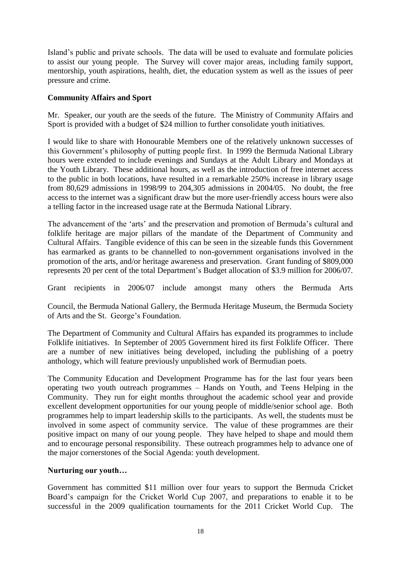Island's public and private schools. The data will be used to evaluate and formulate policies to assist our young people. The Survey will cover major areas, including family support, mentorship, youth aspirations, health, diet, the education system as well as the issues of peer pressure and crime.

# **Community Affairs and Sport**

Mr. Speaker, our youth are the seeds of the future. The Ministry of Community Affairs and Sport is provided with a budget of \$24 million to further consolidate youth initiatives.

I would like to share with Honourable Members one of the relatively unknown successes of this Government's philosophy of putting people first. In 1999 the Bermuda National Library hours were extended to include evenings and Sundays at the Adult Library and Mondays at the Youth Library. These additional hours, as well as the introduction of free internet access to the public in both locations, have resulted in a remarkable 250% increase in library usage from 80,629 admissions in 1998/99 to 204,305 admissions in 2004/05. No doubt, the free access to the internet was a significant draw but the more user-friendly access hours were also a telling factor in the increased usage rate at the Bermuda National Library.

The advancement of the 'arts' and the preservation and promotion of Bermuda's cultural and folklife heritage are major pillars of the mandate of the Department of Community and Cultural Affairs. Tangible evidence of this can be seen in the sizeable funds this Government has earmarked as grants to be channelled to non-government organisations involved in the promotion of the arts, and/or heritage awareness and preservation. Grant funding of \$809,000 represents 20 per cent of the total Department's Budget allocation of \$3.9 million for 2006/07.

Grant recipients in 2006/07 include amongst many others the Bermuda Arts

Council, the Bermuda National Gallery, the Bermuda Heritage Museum, the Bermuda Society of Arts and the St. George's Foundation.

The Department of Community and Cultural Affairs has expanded its programmes to include Folklife initiatives. In September of 2005 Government hired its first Folklife Officer. There are a number of new initiatives being developed, including the publishing of a poetry anthology, which will feature previously unpublished work of Bermudian poets.

The Community Education and Development Programme has for the last four years been operating two youth outreach programmes – Hands on Youth, and Teens Helping in the Community. They run for eight months throughout the academic school year and provide excellent development opportunities for our young people of middle/senior school age. Both programmes help to impart leadership skills to the participants. As well, the students must be involved in some aspect of community service. The value of these programmes are their positive impact on many of our young people. They have helped to shape and mould them and to encourage personal responsibility. These outreach programmes help to advance one of the major cornerstones of the Social Agenda: youth development.

# **Nurturing our youth…**

Government has committed \$11 million over four years to support the Bermuda Cricket Board's campaign for the Cricket World Cup 2007, and preparations to enable it to be successful in the 2009 qualification tournaments for the 2011 Cricket World Cup. The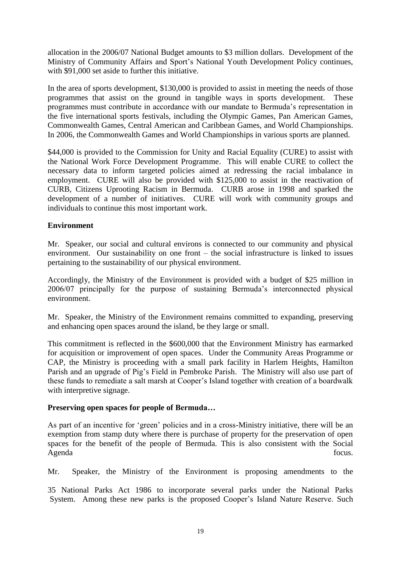allocation in the 2006/07 National Budget amounts to \$3 million dollars. Development of the Ministry of Community Affairs and Sport's National Youth Development Policy continues, with \$91,000 set aside to further this initiative.

In the area of sports development, \$130,000 is provided to assist in meeting the needs of those programmes that assist on the ground in tangible ways in sports development. These programmes must contribute in accordance with our mandate to Bermuda's representation in the five international sports festivals, including the Olympic Games, Pan American Games, Commonwealth Games, Central American and Caribbean Games, and World Championships. In 2006, the Commonwealth Games and World Championships in various sports are planned.

\$44,000 is provided to the Commission for Unity and Racial Equality (CURE) to assist with the National Work Force Development Programme. This will enable CURE to collect the necessary data to inform targeted policies aimed at redressing the racial imbalance in employment. CURE will also be provided with \$125,000 to assist in the reactivation of CURB, Citizens Uprooting Racism in Bermuda. CURB arose in 1998 and sparked the development of a number of initiatives. CURE will work with community groups and individuals to continue this most important work.

#### **Environment**

Mr. Speaker, our social and cultural environs is connected to our community and physical environment. Our sustainability on one front – the social infrastructure is linked to issues pertaining to the sustainability of our physical environment.

Accordingly, the Ministry of the Environment is provided with a budget of \$25 million in 2006/07 principally for the purpose of sustaining Bermuda's interconnected physical environment.

Mr. Speaker, the Ministry of the Environment remains committed to expanding, preserving and enhancing open spaces around the island, be they large or small.

This commitment is reflected in the \$600,000 that the Environment Ministry has earmarked for acquisition or improvement of open spaces. Under the Community Areas Programme or CAP, the Ministry is proceeding with a small park facility in Harlem Heights, Hamilton Parish and an upgrade of Pig's Field in Pembroke Parish. The Ministry will also use part of these funds to remediate a salt marsh at Cooper's Island together with creation of a boardwalk with interpretive signage.

#### **Preserving open spaces for people of Bermuda…**

As part of an incentive for 'green' policies and in a cross-Ministry initiative, there will be an exemption from stamp duty where there is purchase of property for the preservation of open spaces for the benefit of the people of Bermuda. This is also consistent with the Social Agenda focus.

Mr. Speaker, the Ministry of the Environment is proposing amendments to the

35 National Parks Act 1986 to incorporate several parks under the National Parks System. Among these new parks is the proposed Cooper's Island Nature Reserve. Such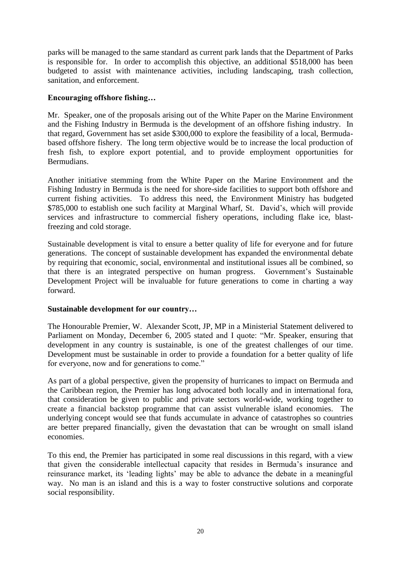parks will be managed to the same standard as current park lands that the Department of Parks is responsible for. In order to accomplish this objective, an additional \$518,000 has been budgeted to assist with maintenance activities, including landscaping, trash collection, sanitation, and enforcement.

#### **Encouraging offshore fishing…**

Mr. Speaker, one of the proposals arising out of the White Paper on the Marine Environment and the Fishing Industry in Bermuda is the development of an offshore fishing industry. In that regard, Government has set aside \$300,000 to explore the feasibility of a local, Bermudabased offshore fishery. The long term objective would be to increase the local production of fresh fish, to explore export potential, and to provide employment opportunities for Bermudians.

Another initiative stemming from the White Paper on the Marine Environment and the Fishing Industry in Bermuda is the need for shore-side facilities to support both offshore and current fishing activities. To address this need, the Environment Ministry has budgeted \$785,000 to establish one such facility at Marginal Wharf, St. David's, which will provide services and infrastructure to commercial fishery operations, including flake ice, blastfreezing and cold storage.

Sustainable development is vital to ensure a better quality of life for everyone and for future generations. The concept of sustainable development has expanded the environmental debate by requiring that economic, social, environmental and institutional issues all be combined, so that there is an integrated perspective on human progress. Government's Sustainable Development Project will be invaluable for future generations to come in charting a way forward.

# **Sustainable development for our country…**

The Honourable Premier, W. Alexander Scott, JP, MP in a Ministerial Statement delivered to Parliament on Monday, December 6, 2005 stated and I quote: "Mr. Speaker, ensuring that development in any country is sustainable, is one of the greatest challenges of our time. Development must be sustainable in order to provide a foundation for a better quality of life for everyone, now and for generations to come."

As part of a global perspective, given the propensity of hurricanes to impact on Bermuda and the Caribbean region, the Premier has long advocated both locally and in international fora, that consideration be given to public and private sectors world-wide, working together to create a financial backstop programme that can assist vulnerable island economies. The underlying concept would see that funds accumulate in advance of catastrophes so countries are better prepared financially, given the devastation that can be wrought on small island economies.

To this end, the Premier has participated in some real discussions in this regard, with a view that given the considerable intellectual capacity that resides in Bermuda's insurance and reinsurance market, its 'leading lights' may be able to advance the debate in a meaningful way. No man is an island and this is a way to foster constructive solutions and corporate social responsibility.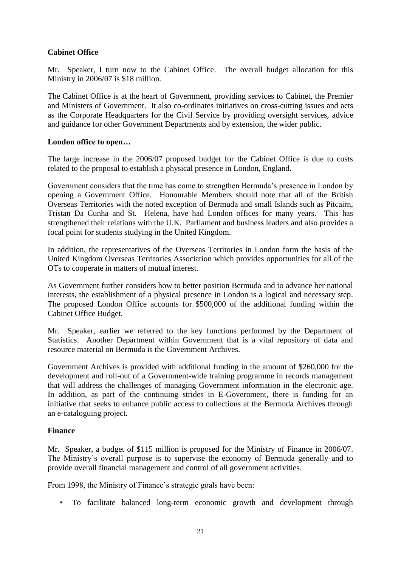# **Cabinet Office**

Mr. Speaker, I turn now to the Cabinet Office. The overall budget allocation for this Ministry in 2006/07 is \$18 million.

The Cabinet Office is at the heart of Government, providing services to Cabinet, the Premier and Ministers of Government. It also co-ordinates initiatives on cross-cutting issues and acts as the Corporate Headquarters for the Civil Service by providing oversight services, advice and guidance for other Government Departments and by extension, the wider public.

# **London office to open…**

The large increase in the 2006/07 proposed budget for the Cabinet Office is due to costs related to the proposal to establish a physical presence in London, England.

Government considers that the time has come to strengthen Bermuda's presence in London by opening a Government Office. Honourable Members should note that all of the British Overseas Territories with the noted exception of Bermuda and small Islands such as Pitcairn, Tristan Da Cunha and St. Helena, have had London offices for many years. This has strengthened their relations with the U.K. Parliament and business leaders and also provides a focal point for students studying in the United Kingdom.

In addition, the representatives of the Overseas Territories in London form the basis of the United Kingdom Overseas Territories Association which provides opportunities for all of the OTs to cooperate in matters of mutual interest.

As Government further considers how to better position Bermuda and to advance her national interests, the establishment of a physical presence in London is a logical and necessary step. The proposed London Office accounts for \$500,000 of the additional funding within the Cabinet Office Budget.

Mr. Speaker, earlier we referred to the key functions performed by the Department of Statistics. Another Department within Government that is a vital repository of data and resource material on Bermuda is the Government Archives.

Government Archives is provided with additional funding in the amount of \$260,000 for the development and roll-out of a Government-wide training programme in records management that will address the challenges of managing Government information in the electronic age. In addition, as part of the continuing strides in E-Government, there is funding for an initiative that seeks to enhance public access to collections at the Bermuda Archives through an e-cataloguing project.

# **Finance**

Mr. Speaker, a budget of \$115 million is proposed for the Ministry of Finance in 2006/07. The Ministry's overall purpose is to supervise the economy of Bermuda generally and to provide overall financial management and control of all government activities.

From 1998, the Ministry of Finance's strategic goals have been:

• To facilitate balanced long-term economic growth and development through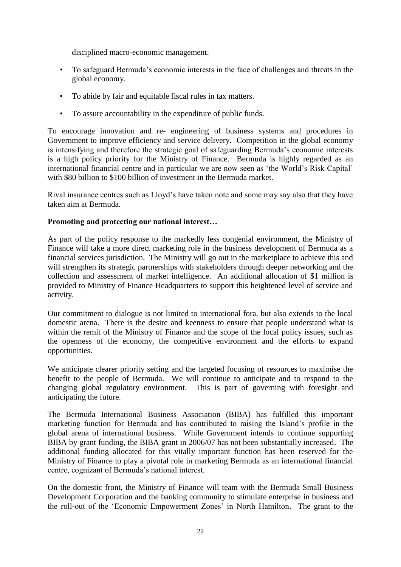disciplined macro-economic management.

- To safeguard Bermuda's economic interests in the face of challenges and threats in the global economy.
- To abide by fair and equitable fiscal rules in tax matters.
- To assure accountability in the expenditure of public funds.

To encourage innovation and re- engineering of business systems and procedures in Government to improve efficiency and service delivery. Competition in the global economy is intensifying and therefore the strategic goal of safeguarding Bermuda's economic interests is a high policy priority for the Ministry of Finance. Bermuda is highly regarded as an international financial centre and in particular we are now seen as 'the World's Risk Capital' with \$80 billion to \$100 billion of investment in the Bermuda market.

Rival insurance centres such as Lloyd's have taken note and some may say also that they have taken aim at Bermuda.

# **Promoting and protecting our national interest…**

As part of the policy response to the markedly less congenial environment, the Ministry of Finance will take a more direct marketing role in the business development of Bermuda as a financial services jurisdiction. The Ministry will go out in the marketplace to achieve this and will strengthen its strategic partnerships with stakeholders through deeper networking and the collection and assessment of market intelligence. An additional allocation of \$1 million is provided to Ministry of Finance Headquarters to support this heightened level of service and activity.

Our commitment to dialogue is not limited to international fora, but also extends to the local domestic arena. There is the desire and keenness to ensure that people understand what is within the remit of the Ministry of Finance and the scope of the local policy issues, such as the openness of the economy, the competitive environment and the efforts to expand opportunities.

We anticipate clearer priority setting and the targeted focusing of resources to maximise the benefit to the people of Bermuda. We will continue to anticipate and to respond to the changing global regulatory environment. This is part of governing with foresight and anticipating the future.

The Bermuda International Business Association (BIBA) has fulfilled this important marketing function for Bermuda and has contributed to raising the Island's profile in the global arena of international business. While Government intends to continue supporting BIBA by grant funding, the BIBA grant in 2006/07 has not been substantially increased. The additional funding allocated for this vitally important function has been reserved for the Ministry of Finance to play a pivotal role in marketing Bermuda as an international financial centre, cognizant of Bermuda's national interest.

On the domestic front, the Ministry of Finance will team with the Bermuda Small Business Development Corporation and the banking community to stimulate enterprise in business and the roll-out of the 'Economic Empowerment Zones' in North Hamilton. The grant to the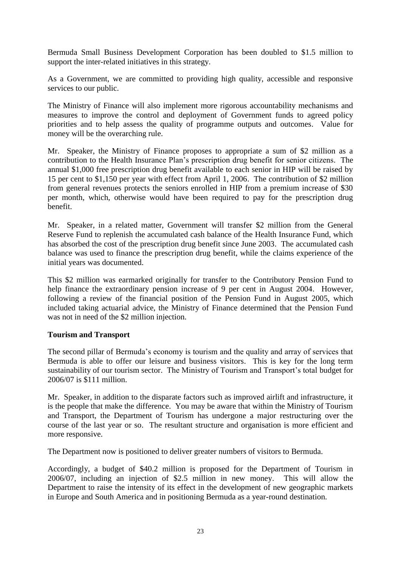Bermuda Small Business Development Corporation has been doubled to \$1.5 million to support the inter-related initiatives in this strategy.

As a Government, we are committed to providing high quality, accessible and responsive services to our public.

The Ministry of Finance will also implement more rigorous accountability mechanisms and measures to improve the control and deployment of Government funds to agreed policy priorities and to help assess the quality of programme outputs and outcomes. Value for money will be the overarching rule.

Mr. Speaker, the Ministry of Finance proposes to appropriate a sum of \$2 million as a contribution to the Health Insurance Plan's prescription drug benefit for senior citizens. The annual \$1,000 free prescription drug benefit available to each senior in HIP will be raised by 15 per cent to \$1,150 per year with effect from April 1, 2006. The contribution of \$2 million from general revenues protects the seniors enrolled in HIP from a premium increase of \$30 per month, which, otherwise would have been required to pay for the prescription drug benefit.

Mr. Speaker, in a related matter, Government will transfer \$2 million from the General Reserve Fund to replenish the accumulated cash balance of the Health Insurance Fund, which has absorbed the cost of the prescription drug benefit since June 2003. The accumulated cash balance was used to finance the prescription drug benefit, while the claims experience of the initial years was documented.

This \$2 million was earmarked originally for transfer to the Contributory Pension Fund to help finance the extraordinary pension increase of 9 per cent in August 2004. However, following a review of the financial position of the Pension Fund in August 2005, which included taking actuarial advice, the Ministry of Finance determined that the Pension Fund was not in need of the \$2 million injection.

# **Tourism and Transport**

The second pillar of Bermuda's economy is tourism and the quality and array of services that Bermuda is able to offer our leisure and business visitors. This is key for the long term sustainability of our tourism sector. The Ministry of Tourism and Transport's total budget for 2006/07 is \$111 million.

Mr. Speaker, in addition to the disparate factors such as improved airlift and infrastructure, it is the people that make the difference. You may be aware that within the Ministry of Tourism and Transport, the Department of Tourism has undergone a major restructuring over the course of the last year or so. The resultant structure and organisation is more efficient and more responsive.

The Department now is positioned to deliver greater numbers of visitors to Bermuda.

Accordingly, a budget of \$40.2 million is proposed for the Department of Tourism in 2006/07, including an injection of \$2.5 million in new money. This will allow the Department to raise the intensity of its effect in the development of new geographic markets in Europe and South America and in positioning Bermuda as a year-round destination.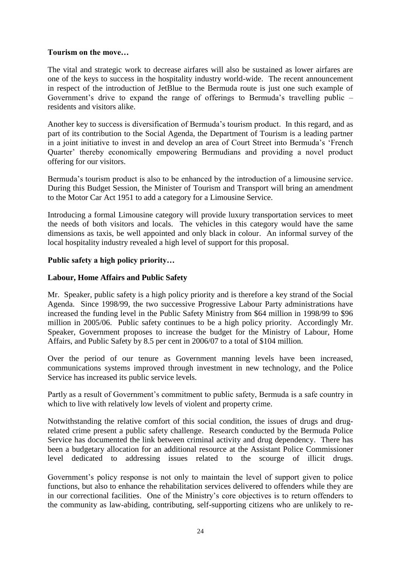# **Tourism on the move…**

The vital and strategic work to decrease airfares will also be sustained as lower airfares are one of the keys to success in the hospitality industry world-wide. The recent announcement in respect of the introduction of JetBlue to the Bermuda route is just one such example of Government's drive to expand the range of offerings to Bermuda's travelling public – residents and visitors alike.

Another key to success is diversification of Bermuda's tourism product. In this regard, and as part of its contribution to the Social Agenda, the Department of Tourism is a leading partner in a joint initiative to invest in and develop an area of Court Street into Bermuda's 'French Quarter' thereby economically empowering Bermudians and providing a novel product offering for our visitors.

Bermuda's tourism product is also to be enhanced by the introduction of a limousine service. During this Budget Session, the Minister of Tourism and Transport will bring an amendment to the Motor Car Act 1951 to add a category for a Limousine Service.

Introducing a formal Limousine category will provide luxury transportation services to meet the needs of both visitors and locals. The vehicles in this category would have the same dimensions as taxis, be well appointed and only black in colour. An informal survey of the local hospitality industry revealed a high level of support for this proposal.

#### **Public safety a high policy priority…**

#### **Labour, Home Affairs and Public Safety**

Mr. Speaker, public safety is a high policy priority and is therefore a key strand of the Social Agenda. Since 1998/99, the two successive Progressive Labour Party administrations have increased the funding level in the Public Safety Ministry from \$64 million in 1998/99 to \$96 million in 2005/06. Public safety continues to be a high policy priority. Accordingly Mr. Speaker, Government proposes to increase the budget for the Ministry of Labour, Home Affairs, and Public Safety by 8.5 per cent in 2006/07 to a total of \$104 million.

Over the period of our tenure as Government manning levels have been increased, communications systems improved through investment in new technology, and the Police Service has increased its public service levels.

Partly as a result of Government's commitment to public safety, Bermuda is a safe country in which to live with relatively low levels of violent and property crime.

Notwithstanding the relative comfort of this social condition, the issues of drugs and drugrelated crime present a public safety challenge. Research conducted by the Bermuda Police Service has documented the link between criminal activity and drug dependency. There has been a budgetary allocation for an additional resource at the Assistant Police Commissioner level dedicated to addressing issues related to the scourge of illicit drugs.

Government's policy response is not only to maintain the level of support given to police functions, but also to enhance the rehabilitation services delivered to offenders while they are in our correctional facilities. One of the Ministry's core objectives is to return offenders to the community as law-abiding, contributing, self-supporting citizens who are unlikely to re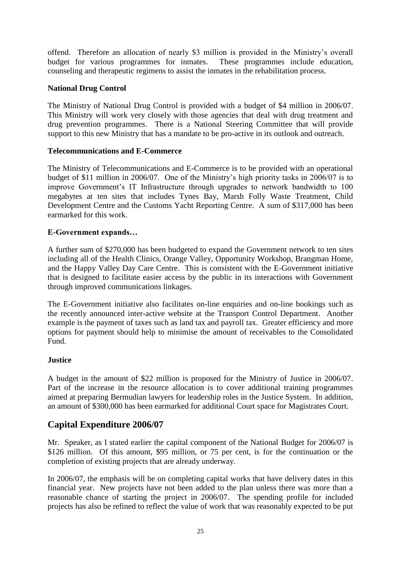offend. Therefore an allocation of nearly \$3 million is provided in the Ministry's overall budget for various programmes for inmates. These programmes include education, counseling and therapeutic regimens to assist the inmates in the rehabilitation process.

### **National Drug Control**

The Ministry of National Drug Control is provided with a budget of \$4 million in 2006/07. This Ministry will work very closely with those agencies that deal with drug treatment and drug prevention programmes. There is a National Steering Committee that will provide support to this new Ministry that has a mandate to be pro-active in its outlook and outreach.

#### **Telecommunications and E-Commerce**

The Ministry of Telecommunications and E-Commerce is to be provided with an operational budget of \$11 million in 2006/07. One of the Ministry's high priority tasks in 2006/07 is to improve Government's IT Infrastructure through upgrades to network bandwidth to 100 megabytes at ten sites that includes Tynes Bay, Marsh Folly Waste Treatment, Child Development Centre and the Customs Yacht Reporting Centre. A sum of \$317,000 has been earmarked for this work.

#### **E-Government expands…**

A further sum of \$270,000 has been budgeted to expand the Government network to ten sites including all of the Health Clinics, Orange Valley, Opportunity Workshop, Brangman Home, and the Happy Valley Day Care Centre. This is consistent with the E-Government initiative that is designed to facilitate easier access by the public in its interactions with Government through improved communications linkages.

The E-Government initiative also facilitates on-line enquiries and on-line bookings such as the recently announced inter-active website at the Transport Control Department. Another example is the payment of taxes such as land tax and payroll tax. Greater efficiency and more options for payment should help to minimise the amount of receivables to the Consolidated Fund.

#### **Justice**

A budget in the amount of \$22 million is proposed for the Ministry of Justice in 2006/07. Part of the increase in the resource allocation is to cover additional training programmes aimed at preparing Bermudian lawyers for leadership roles in the Justice System. In addition, an amount of \$300,000 has been earmarked for additional Court space for Magistrates Court.

# **Capital Expenditure 2006/07**

Mr. Speaker, as I stated earlier the capital component of the National Budget for 2006/07 is \$126 million. Of this amount, \$95 million, or 75 per cent, is for the continuation or the completion of existing projects that are already underway.

In 2006/07, the emphasis will be on completing capital works that have delivery dates in this financial year. New projects have not been added to the plan unless there was more than a reasonable chance of starting the project in 2006/07. The spending profile for included projects has also be refined to reflect the value of work that was reasonably expected to be put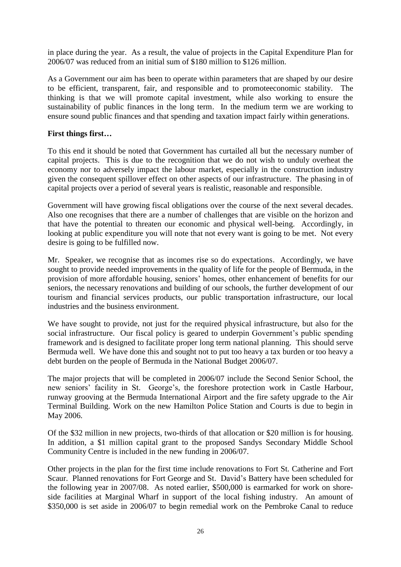in place during the year. As a result, the value of projects in the Capital Expenditure Plan for 2006/07 was reduced from an initial sum of \$180 million to \$126 million.

As a Government our aim has been to operate within parameters that are shaped by our desire to be efficient, transparent, fair, and responsible and to promoteeconomic stability. The thinking is that we will promote capital investment, while also working to ensure the sustainability of public finances in the long term. In the medium term we are working to ensure sound public finances and that spending and taxation impact fairly within generations.

### **First things first…**

To this end it should be noted that Government has curtailed all but the necessary number of capital projects. This is due to the recognition that we do not wish to unduly overheat the economy nor to adversely impact the labour market, especially in the construction industry given the consequent spillover effect on other aspects of our infrastructure. The phasing in of capital projects over a period of several years is realistic, reasonable and responsible.

Government will have growing fiscal obligations over the course of the next several decades. Also one recognises that there are a number of challenges that are visible on the horizon and that have the potential to threaten our economic and physical well-being. Accordingly, in looking at public expenditure you will note that not every want is going to be met. Not every desire is going to be fulfilled now.

Mr. Speaker, we recognise that as incomes rise so do expectations. Accordingly, we have sought to provide needed improvements in the quality of life for the people of Bermuda, in the provision of more affordable housing, seniors' homes, other enhancement of benefits for our seniors, the necessary renovations and building of our schools, the further development of our tourism and financial services products, our public transportation infrastructure, our local industries and the business environment.

We have sought to provide, not just for the required physical infrastructure, but also for the social infrastructure. Our fiscal policy is geared to underpin Government's public spending framework and is designed to facilitate proper long term national planning. This should serve Bermuda well. We have done this and sought not to put too heavy a tax burden or too heavy a debt burden on the people of Bermuda in the National Budget 2006/07.

The major projects that will be completed in 2006/07 include the Second Senior School, the new seniors' facility in St. George's, the foreshore protection work in Castle Harbour, runway grooving at the Bermuda International Airport and the fire safety upgrade to the Air Terminal Building. Work on the new Hamilton Police Station and Courts is due to begin in May 2006.

Of the \$32 million in new projects, two-thirds of that allocation or \$20 million is for housing. In addition, a \$1 million capital grant to the proposed Sandys Secondary Middle School Community Centre is included in the new funding in 2006/07.

Other projects in the plan for the first time include renovations to Fort St. Catherine and Fort Scaur. Planned renovations for Fort George and St. David's Battery have been scheduled for the following year in 2007/08. As noted earlier, \$500,000 is earmarked for work on shoreside facilities at Marginal Wharf in support of the local fishing industry. An amount of \$350,000 is set aside in 2006/07 to begin remedial work on the Pembroke Canal to reduce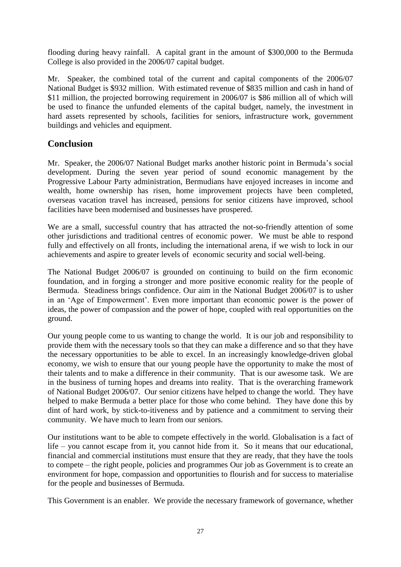flooding during heavy rainfall. A capital grant in the amount of \$300,000 to the Bermuda College is also provided in the 2006/07 capital budget.

Mr. Speaker, the combined total of the current and capital components of the 2006/07 National Budget is \$932 million. With estimated revenue of \$835 million and cash in hand of \$11 million, the projected borrowing requirement in 2006/07 is \$86 million all of which will be used to finance the unfunded elements of the capital budget, namely, the investment in hard assets represented by schools, facilities for seniors, infrastructure work, government buildings and vehicles and equipment.

# **Conclusion**

Mr. Speaker, the 2006/07 National Budget marks another historic point in Bermuda's social development. During the seven year period of sound economic management by the Progressive Labour Party administration, Bermudians have enjoyed increases in income and wealth, home ownership has risen, home improvement projects have been completed, overseas vacation travel has increased, pensions for senior citizens have improved, school facilities have been modernised and businesses have prospered.

We are a small, successful country that has attracted the not-so-friendly attention of some other jurisdictions and traditional centres of economic power. We must be able to respond fully and effectively on all fronts, including the international arena, if we wish to lock in our achievements and aspire to greater levels of economic security and social well-being.

The National Budget 2006/07 is grounded on continuing to build on the firm economic foundation, and in forging a stronger and more positive economic reality for the people of Bermuda. Steadiness brings confidence. Our aim in the National Budget 2006/07 is to usher in an 'Age of Empowerment'. Even more important than economic power is the power of ideas, the power of compassion and the power of hope, coupled with real opportunities on the ground.

Our young people come to us wanting to change the world. It is our job and responsibility to provide them with the necessary tools so that they can make a difference and so that they have the necessary opportunities to be able to excel. In an increasingly knowledge-driven global economy, we wish to ensure that our young people have the opportunity to make the most of their talents and to make a difference in their community. That is our awesome task. We are in the business of turning hopes and dreams into reality. That is the overarching framework of National Budget 2006/07. Our senior citizens have helped to change the world. They have helped to make Bermuda a better place for those who come behind. They have done this by dint of hard work, by stick-to-itiveness and by patience and a commitment to serving their community. We have much to learn from our seniors.

Our institutions want to be able to compete effectively in the world. Globalisation is a fact of life – you cannot escape from it, you cannot hide from it. So it means that our educational, financial and commercial institutions must ensure that they are ready, that they have the tools to compete – the right people, policies and programmes Our job as Government is to create an environment for hope, compassion and opportunities to flourish and for success to materialise for the people and businesses of Bermuda.

This Government is an enabler. We provide the necessary framework of governance, whether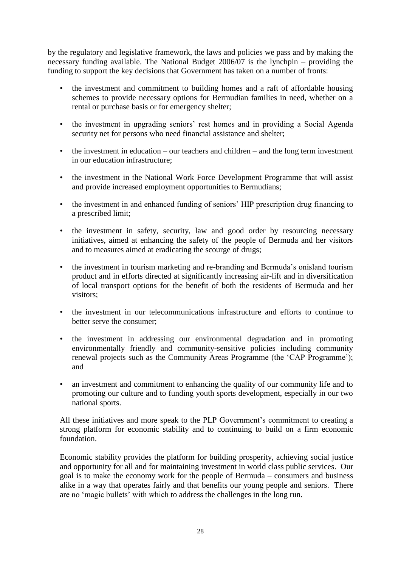by the regulatory and legislative framework, the laws and policies we pass and by making the necessary funding available. The National Budget 2006/07 is the lynchpin – providing the funding to support the key decisions that Government has taken on a number of fronts:

- the investment and commitment to building homes and a raft of affordable housing schemes to provide necessary options for Bermudian families in need, whether on a rental or purchase basis or for emergency shelter;
- the investment in upgrading seniors' rest homes and in providing a Social Agenda security net for persons who need financial assistance and shelter;
- the investment in education our teachers and children and the long term investment in our education infrastructure;
- the investment in the National Work Force Development Programme that will assist and provide increased employment opportunities to Bermudians;
- the investment in and enhanced funding of seniors' HIP prescription drug financing to a prescribed limit;
- the investment in safety, security, law and good order by resourcing necessary initiatives, aimed at enhancing the safety of the people of Bermuda and her visitors and to measures aimed at eradicating the scourge of drugs;
- the investment in tourism marketing and re-branding and Bermuda's onisland tourism product and in efforts directed at significantly increasing air-lift and in diversification of local transport options for the benefit of both the residents of Bermuda and her visitors;
- the investment in our telecommunications infrastructure and efforts to continue to better serve the consumer;
- the investment in addressing our environmental degradation and in promoting environmentally friendly and community-sensitive policies including community renewal projects such as the Community Areas Programme (the 'CAP Programme'); and
- an investment and commitment to enhancing the quality of our community life and to promoting our culture and to funding youth sports development, especially in our two national sports.

All these initiatives and more speak to the PLP Government's commitment to creating a strong platform for economic stability and to continuing to build on a firm economic foundation.

Economic stability provides the platform for building prosperity, achieving social justice and opportunity for all and for maintaining investment in world class public services. Our goal is to make the economy work for the people of Bermuda – consumers and business alike in a way that operates fairly and that benefits our young people and seniors. There are no 'magic bullets' with which to address the challenges in the long run.